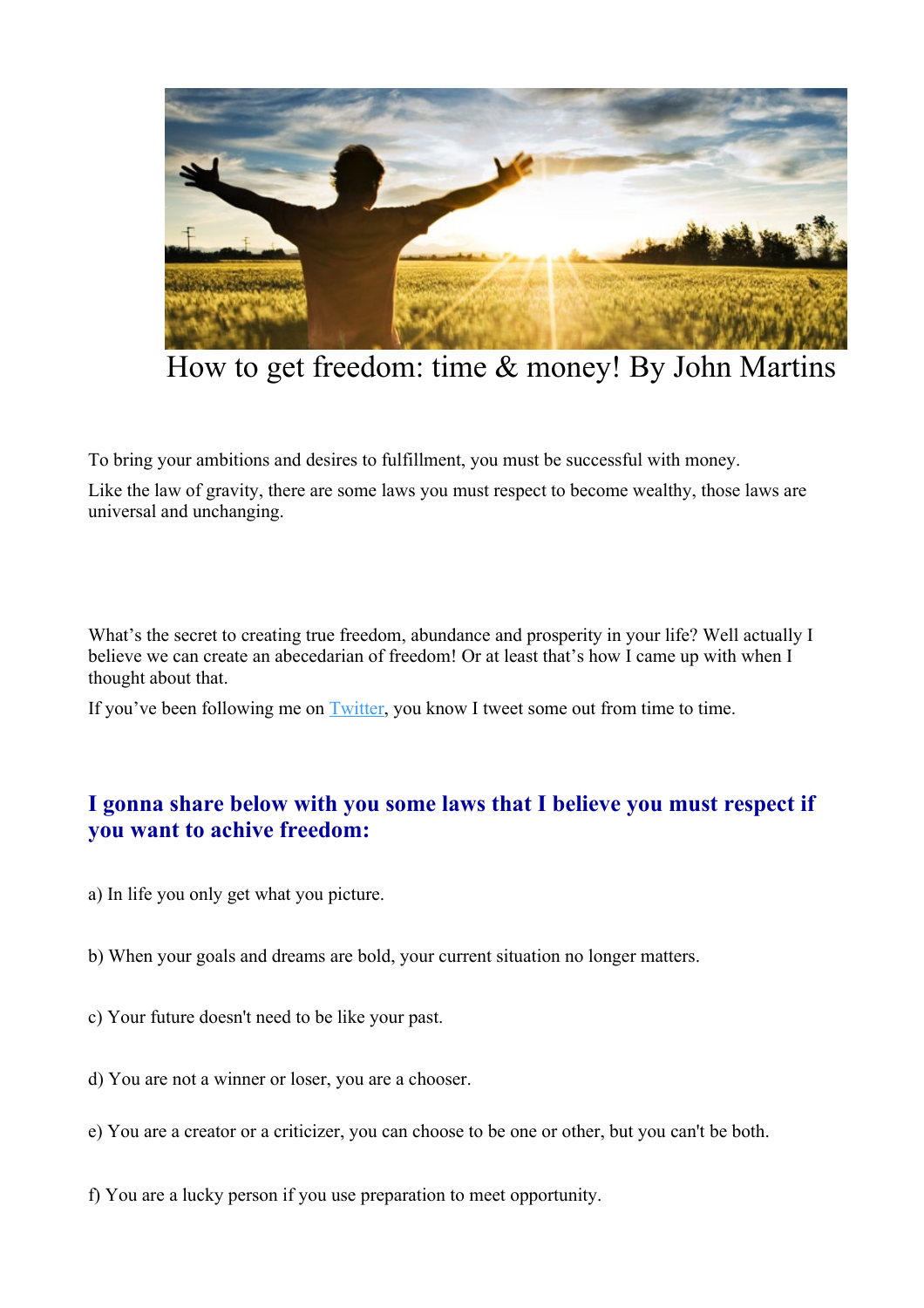

How to get freedom: time & money! By John Martins

To bring your ambitions and desires to fulfillment, you must be successful with money.

Like the law of gravity, there are some laws you must respect to become wealthy, those laws are universal and unchanging.

What's the secret to creating true freedom, abundance and prosperity in your life? Well actually I believe we can create an abecedarian of freedom! Or at least that's how I came up with when I thought about that.

If you've been following me on **Twitter**, you know I tweet some out from time to time.

## **I gonna share below with you some laws that I believe you must respect if you want to achive freedom:**

- a) In life you only get what you picture.
- b) When your goals and dreams are bold, your current situation no longer matters.
- c) Your future doesn't need to be like your past.
- d) You are not a winner or loser, you are a chooser.
- e) You are a creator or a criticizer, you can choose to be one or other, but you can't be both.
- f) You are a lucky person if you use preparation to meet opportunity.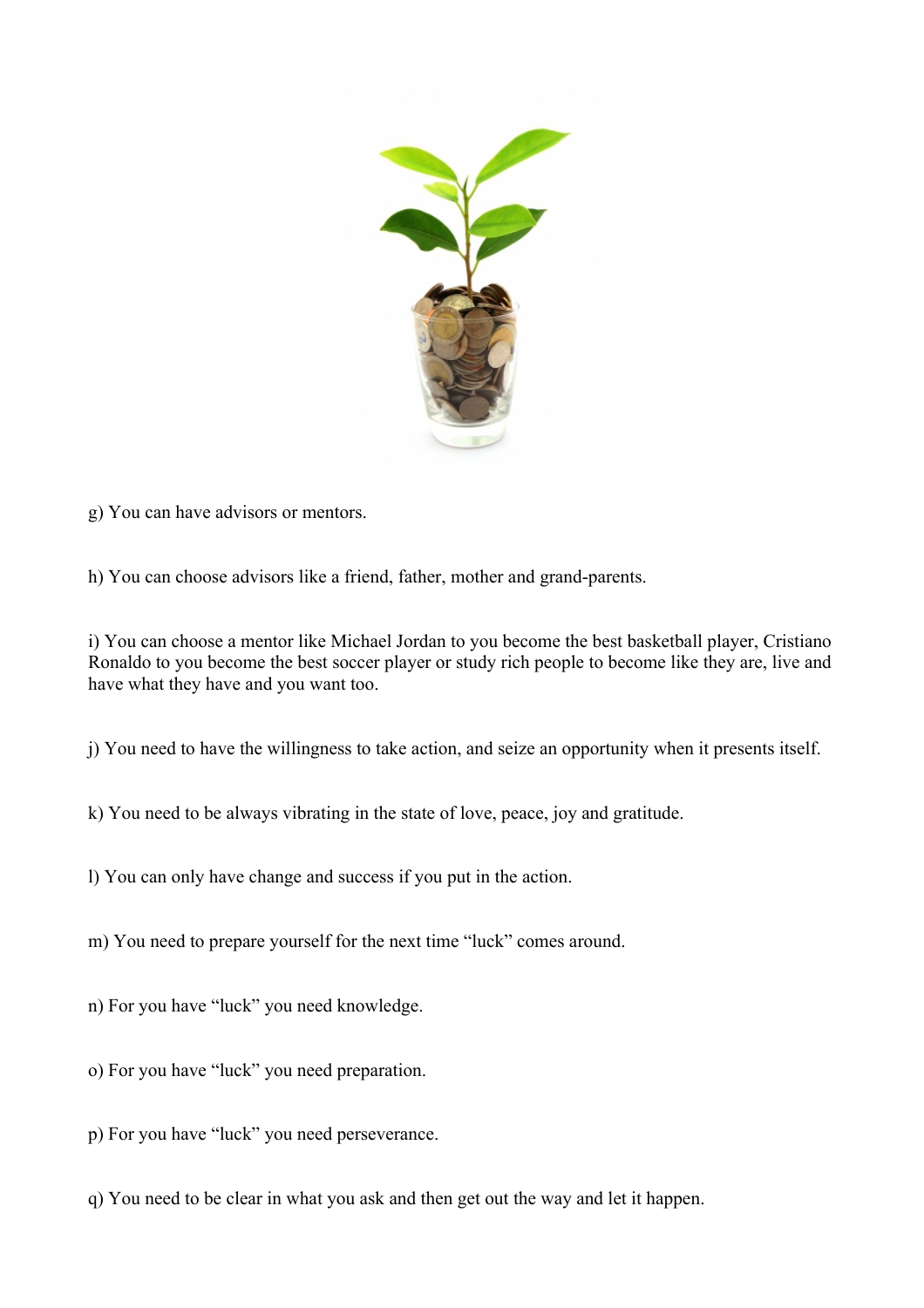

g) You can have advisors or mentors.

h) You can choose advisors like a friend, father, mother and grand-parents.

i) You can choose a mentor like Michael Jordan to you become the best basketball player, Cristiano Ronaldo to you become the best soccer player or study rich people to become like they are, live and have what they have and you want too.

j) You need to have the willingness to take action, and seize an opportunity when it presents itself.

k) You need to be always vibrating in the state of love, peace, joy and gratitude.

l) You can only have change and success if you put in the action.

m) You need to prepare yourself for the next time "luck" comes around.

n) For you have "luck" you need knowledge.

o) For you have "luck" you need preparation.

p) For you have "luck" you need perseverance.

q) You need to be clear in what you ask and then get out the way and let it happen.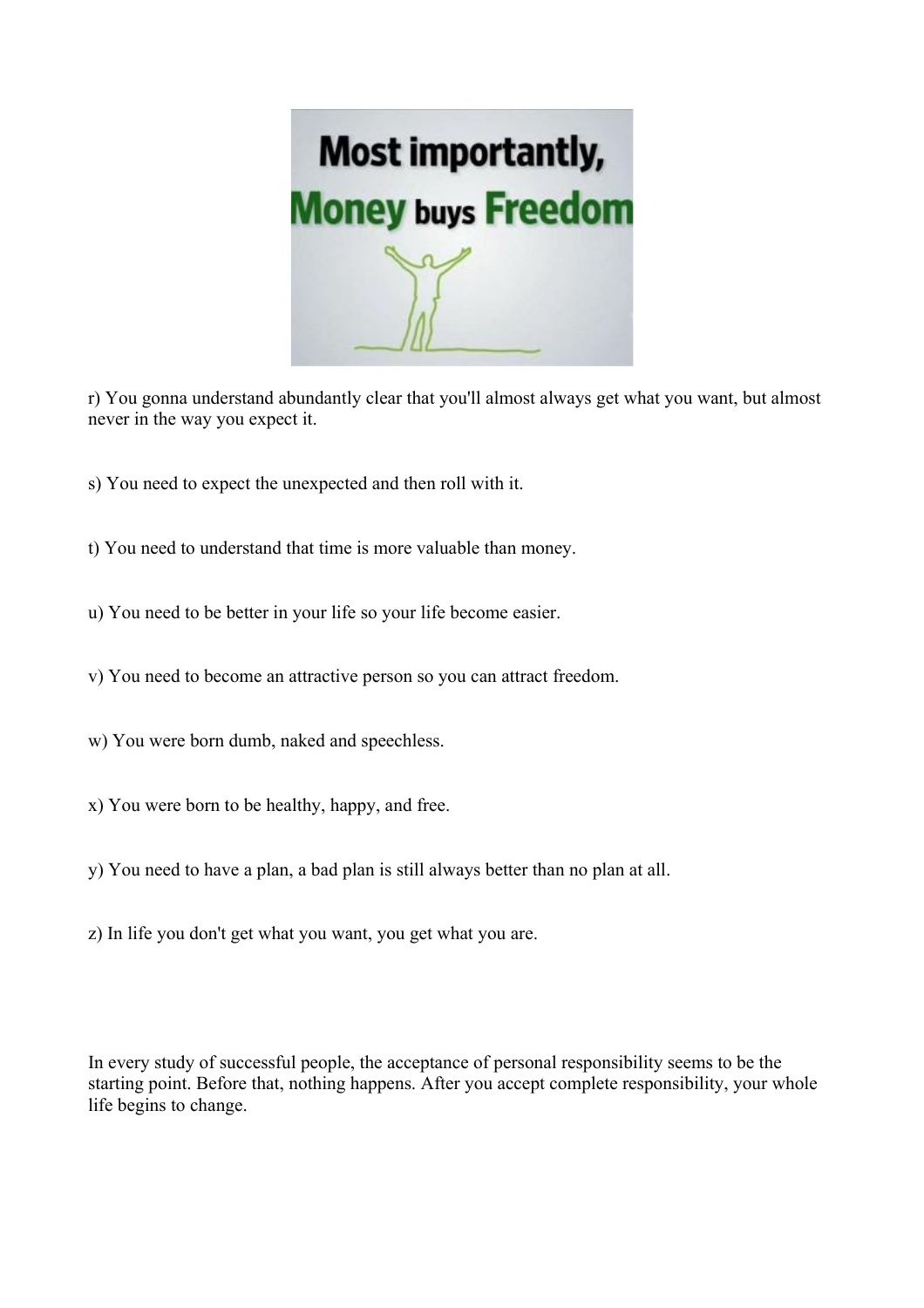

r) You gonna understand abundantly clear that you'll almost always get what you want, but almost never in the way you expect it.

- s) You need to expect the unexpected and then roll with it.
- t) You need to understand that time is more valuable than money.
- u) You need to be better in your life so your life become easier.
- v) You need to become an attractive person so you can attract freedom.
- w) You were born dumb, naked and speechless.
- x) You were born to be healthy, happy, and free.
- y) You need to have a plan, a bad plan is still always better than no plan at all.
- z) In life you don't get what you want, you get what you are.

In every study of successful people, the acceptance of personal responsibility seems to be the starting point. Before that, nothing happens. After you accept complete responsibility, your whole life begins to change.